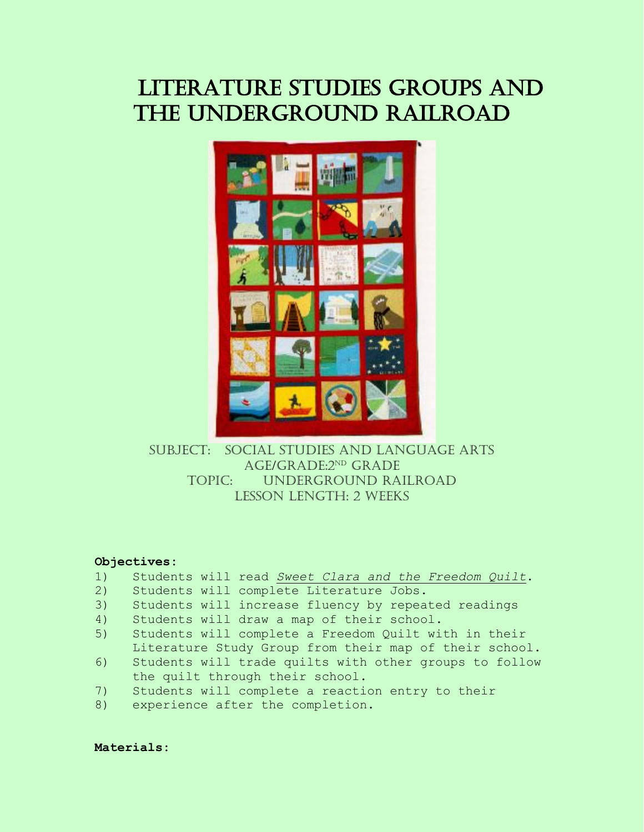# Literature Studies Groups and THE UNDERGROUND RAILROAD



Subject: Social Studies and Language Arts Age/Grade:2nd Grade Topic: Underground Railroad Lesson Length: 2 weeks

#### **Objectives:**

- 1) Students will read *Sweet Clara and the Freedom Quilt*.
- 2) Students will complete Literature Jobs.
- 3) Students will increase fluency by repeated readings
- 4) Students will draw a map of their school.
- 5) Students will complete a Freedom Quilt with in their Literature Study Group from their map of their school.
- 6) Students will trade quilts with other groups to follow the quilt through their school.
- 7) Students will complete a reaction entry to their
- 8) experience after the completion.

**Materials:**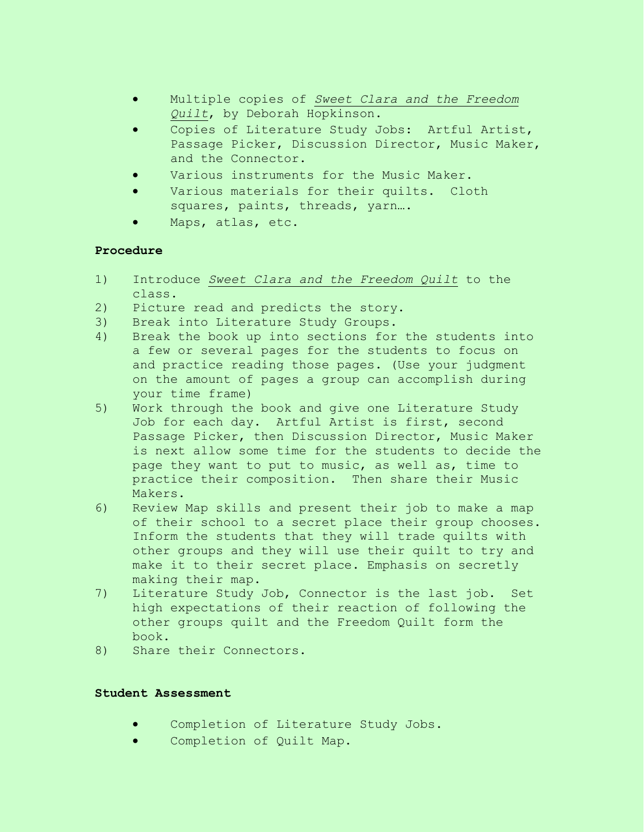- Multiple copies of *Sweet Clara and the Freedom Quilt*, by Deborah Hopkinson.
- Copies of Literature Study Jobs: Artful Artist, Passage Picker, Discussion Director, Music Maker, and the Connector.
- Various instruments for the Music Maker.
- Various materials for their quilts. Cloth squares, paints, threads, yarn….
- Maps, atlas, etc.

### **Procedure**

- 1) Introduce *Sweet Clara and the Freedom Quilt* to the class.
- 2) Picture read and predicts the story.
- 3) Break into Literature Study Groups.
- 4) Break the book up into sections for the students into a few or several pages for the students to focus on and practice reading those pages. (Use your judgment on the amount of pages a group can accomplish during your time frame)
- 5) Work through the book and give one Literature Study Job for each day. Artful Artist is first, second Passage Picker, then Discussion Director, Music Maker is next allow some time for the students to decide the page they want to put to music, as well as, time to practice their composition. Then share their Music Makers.
- 6) Review Map skills and present their job to make a map of their school to a secret place their group chooses. Inform the students that they will trade quilts with other groups and they will use their quilt to try and make it to their secret place. Emphasis on secretly making their map.
- 7) Literature Study Job, Connector is the last job. Set high expectations of their reaction of following the other groups quilt and the Freedom Quilt form the book.
- 8) Share their Connectors.

### **Student Assessment**

- Completion of Literature Study Jobs.
- Completion of Quilt Map.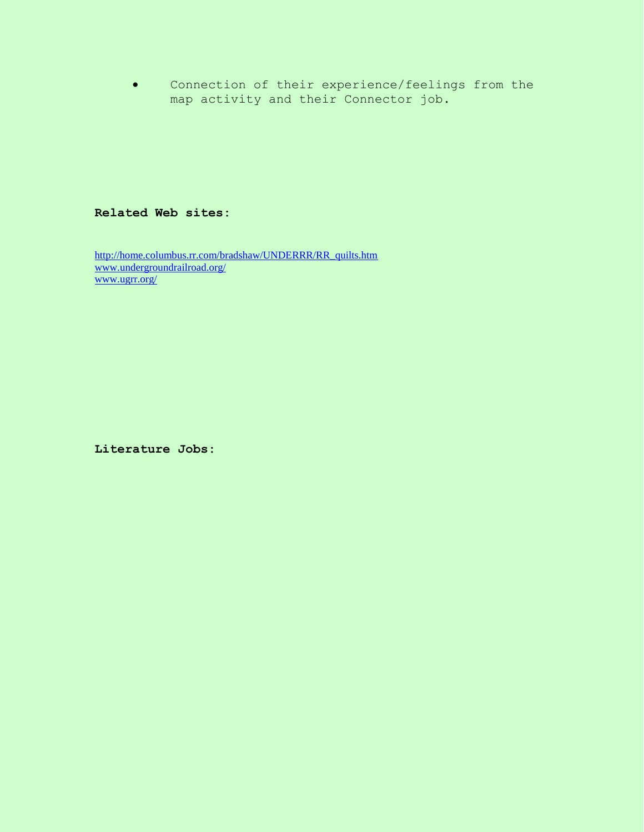Connection of their experience/feelings from the map activity and their Connector job.

#### **Related Web sites:**

[http://home.columbus.rr.com/bradshaw/UNDERRR/RR\\_quilts.htm](http://home.columbus.rr.com/bradshaw/UNDERRR/RR_quilts.htm) [www.undergroundrailroad.org/](http://www.undergroundrailroad.org/) [www.ugrr.org/](http://www.ugrr.org/)

**Literature Jobs:**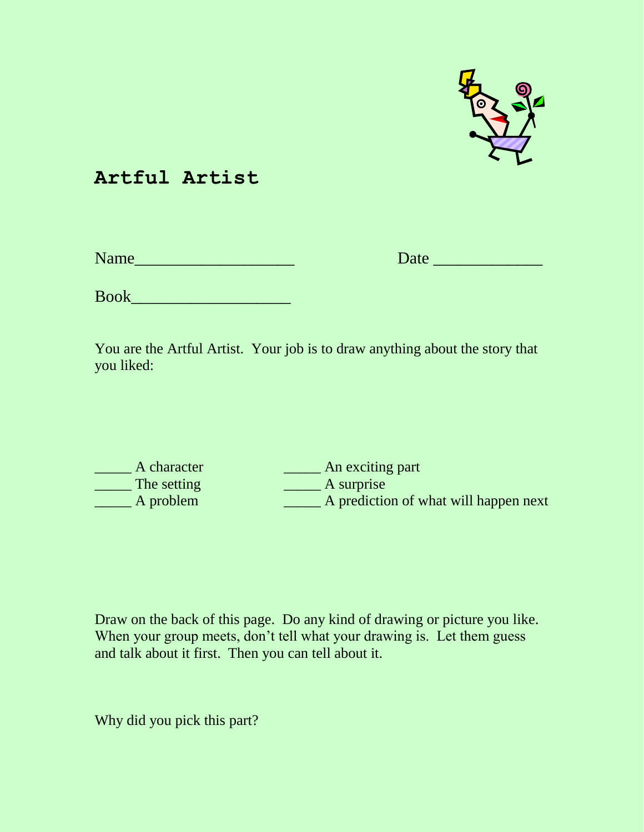

### **Artful Artist**

| Name |  |  |  |
|------|--|--|--|
|      |  |  |  |

Name\_\_\_\_\_\_\_\_\_\_\_\_\_\_\_\_\_\_\_ Date \_\_\_\_\_\_\_\_\_\_\_\_\_

Book

You are the Artful Artist. Your job is to draw anything about the story that you liked:

The setting A surprise

\_\_\_\_\_ A character \_\_\_\_\_ An exciting part \_\_\_\_\_ A problem \_\_\_\_\_ A prediction of what will happen next

Draw on the back of this page. Do any kind of drawing or picture you like. When your group meets, don't tell what your drawing is. Let them guess and talk about it first. Then you can tell about it.

Why did you pick this part?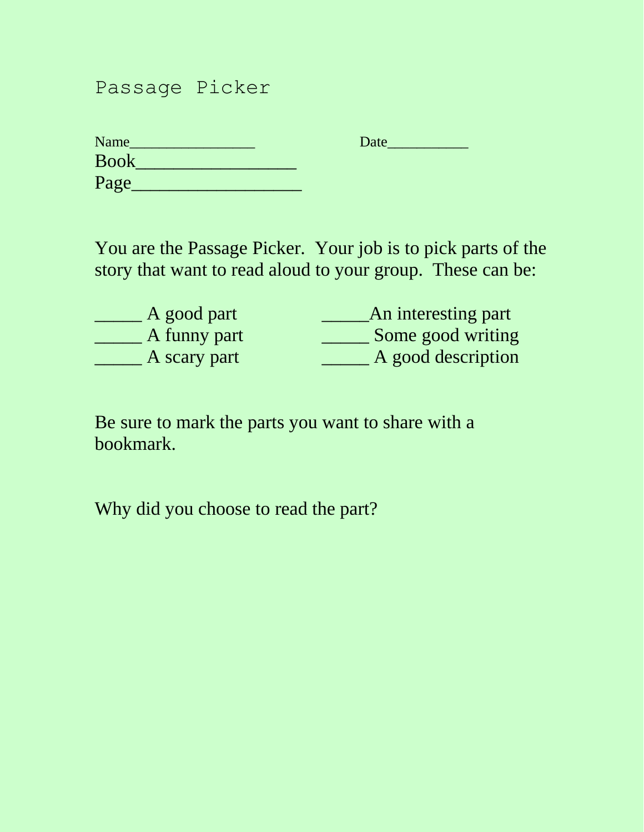## Passage Picker

| <b>Name</b> | Date |
|-------------|------|
| <b>Book</b> |      |
| Page        |      |

You are the Passage Picker. Your job is to pick parts of the story that want to read aloud to your group. These can be:

| A good part  | An interesting part |
|--------------|---------------------|
| A funny part | Some good writing   |
| A scary part | A good description  |

Be sure to mark the parts you want to share with a bookmark.

Why did you choose to read the part?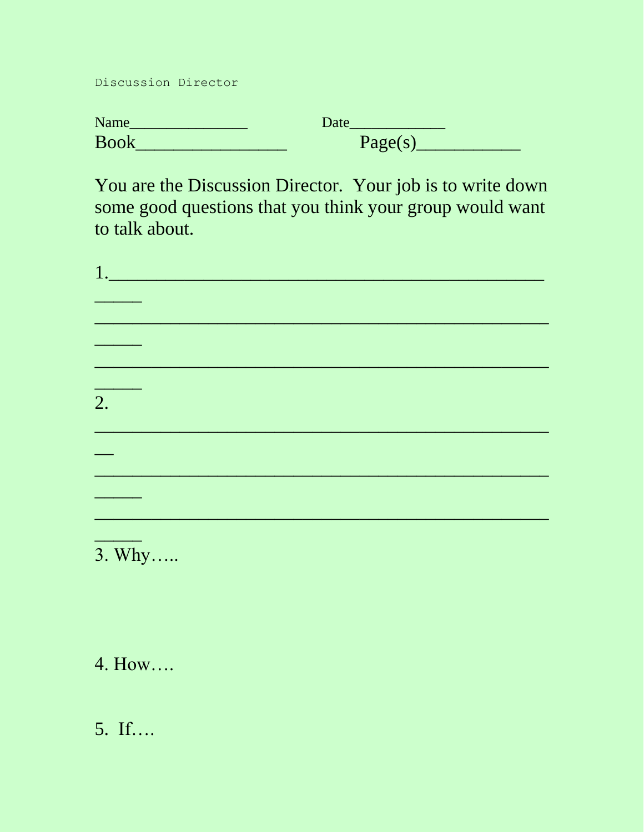Discussion Director

| Name        | Date    |
|-------------|---------|
| <b>Book</b> | Page(s) |

You are the Discussion Director. Your job is to write down some good questions that you think your group would want to talk about.

| $\overline{2}$ . |  |  |  |
|------------------|--|--|--|
|                  |  |  |  |
|                  |  |  |  |
|                  |  |  |  |
|                  |  |  |  |
|                  |  |  |  |
|                  |  |  |  |

 $3. Why....$ 

4. How....

5. If....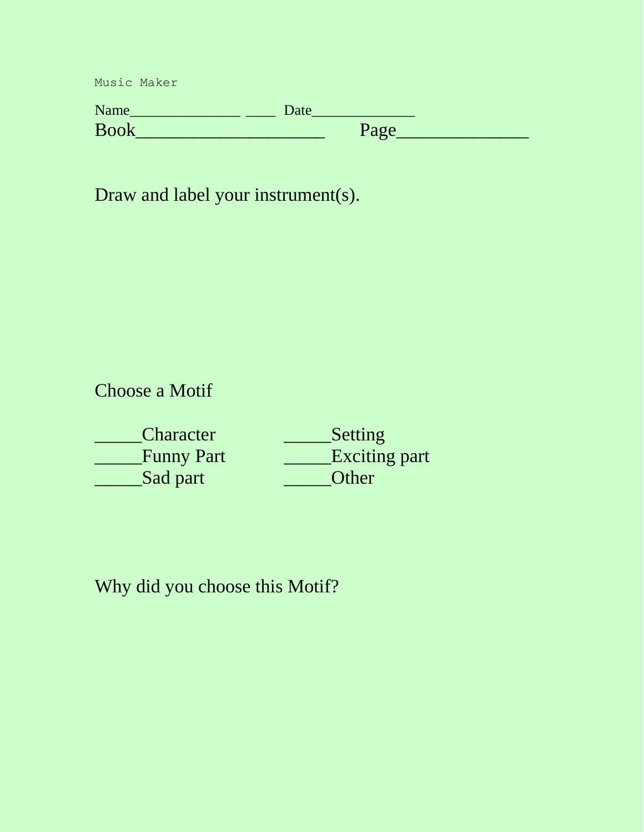| Name        | Date |          |
|-------------|------|----------|
| <b>Book</b> |      | $P_3$ oe |

Draw and label your instrument(s).

Choose a Motif

| <b>Character</b>  | Setting              |
|-------------------|----------------------|
| <b>Funny Part</b> | <b>Exciting part</b> |
| Sad part          | Other                |

Why did you choose this Motif?